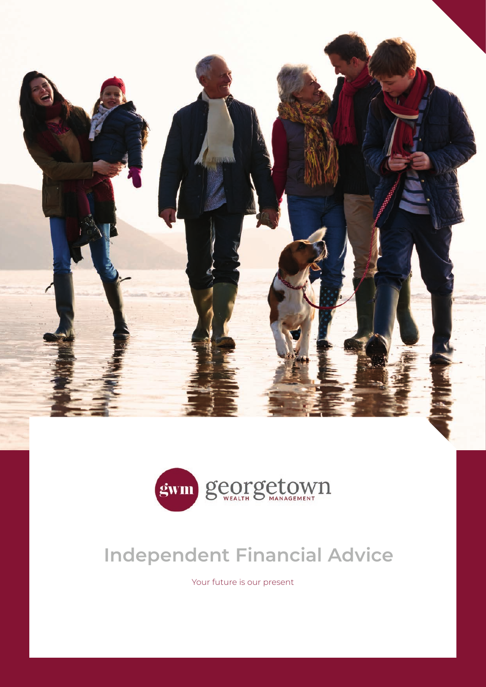



# **Independent Financial Advice**

Your future is our present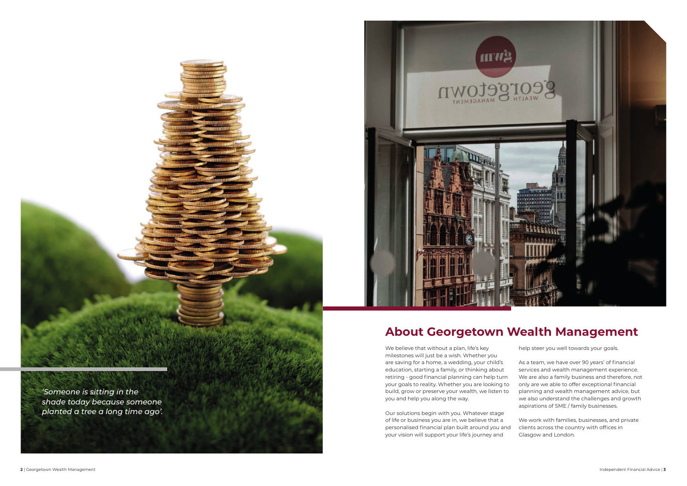*'Someone is sitting in the shade today because someone planted a tree a long time ago'.* 

We believe that without a plan, life's key milestones will just be a wish. Whether you are saving for a home, a wedding, your child's education, starting a family, or thinking about retiring - good financial planning can help turn your goals to reality. Whether you are looking to build, grow or preserve your wealth, we listen to you and help you along the way.

Our solutions begin with you. Whatever stage of life or business you are in, we believe that a personalised financial plan built around you and your vision will support your life's journey and

help steer you well towards your goals.

As a team, we have over 90 years' of financial services and wealth management experience. We are also a family business and therefore, not only are we able to offer exceptional financial planning and wealth management advice, but we also understand the challenges and growth aspirations of SME / family businesses.

We work with families, businesses, and private clients across the country with offices in Glasgow and London.



### **About Georgetown Wealth Management**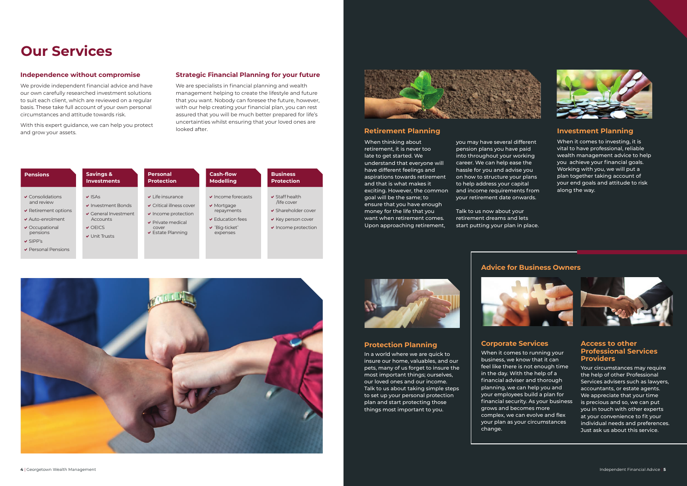When thinking about retirement, it is never too late to get started. We understand that everyone will have different feelings and aspirations towards retirement and that is what makes it exciting. However, the common goal will be the same; to ensure that you have enough money for the life that you want when retirement comes. Upon approaching retirement,

you may have several different pension plans you have paid into throughout your working career. We can help ease the hassle for you and advise you on how to structure your plans to help address your capital and income requirements from your retirement date onwards.

Talk to us now about your retirement dreams and lets start putting your plan in place.



### **Investment Planning**

When it comes to investing, it is vital to have professional, reliable wealth management advice to help you achieve your financial goals. Working with you, we will put a plan together taking account of your end goals and attitude to risk along the way.

#### **Protection Planning**

In a world where we are quick to insure our home, valuables, and our pets, many of us forget to insure the most important things; ourselves, our loved ones and our income. Talk to us about taking simple steps to set up your personal protection plan and start protecting those things most important to you.



When it comes to running your business, we know that it can feel like there is not enough time in the day. With the help of a financial adviser and thorough planning, we can help you and your employees build a plan for financial security. As your business grows and becomes more complex, we can evolve and flex your plan as your circumstances change.

### **Access to other Professional Services Providers**

Your circumstances may require the help of other Professional Services advisers such as lawyers, accountants, or estate agents. We appreciate that your time is precious and so, we can put you in touch with other experts at your convenience to fit your individual needs and preferences. Just ask us about this service.



### **Independence without compromise**

We provide independent financial advice and have our own carefully researched investment solutions to suit each client, which are reviewed on a regular basis. These take full account of your own personal circumstances and attitude towards risk.

With this expert guidance, we can help you protect and grow your assets.

## **Our Services**

#### **Strategic Financial Planning for your future**

We are specialists in financial planning and wealth management helping to create the lifestyle and future that you want. Nobody can foresee the future, however, with our help creating your financial plan, you can rest assured that you will be much better prepared for life's uncertainties whilst ensuring that your loved ones are looked after.







#### **Advice for Business Owners**

### **Retirement Planning**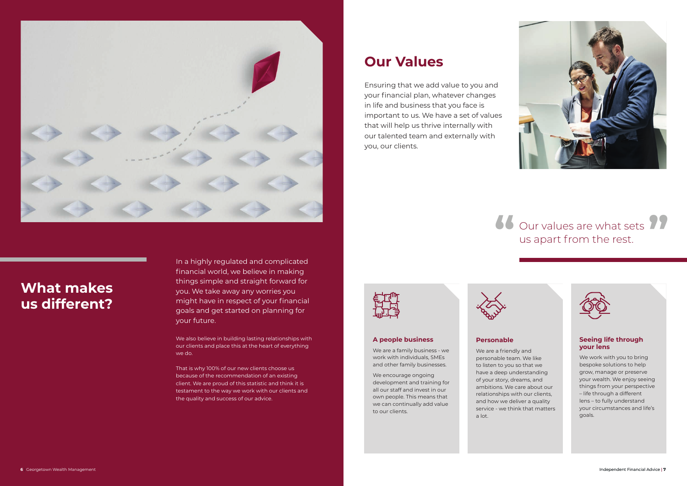In a highly regulated and complicated financial world, we believe in making things simple and straight forward for you. We take away any worries you might have in respect of your financial goals and get started on planning for your future.

We also believe in building lasting relationships with our clients and place this at the heart of everything we do.

We work with you to bring bespoke solutions to help grow, manage or preserve your wealth. We enjoy seeing things from your perspective – life through a different lens – to fully understand your circumstances and life's goals.

That is why 100% of our new clients choose us because of the recommendation of an existing client. We are proud of this statistic and think it is testament to the way we work with our clients and the quality and success of our advice.

### Our values are what sets us apart from the rest. **66** Our values are what sets **99**<br>us apart from the rest.





## **What makes us different?**

## **your lens**

For a between building lastange stationary interventionary the and the stationary of the control of the control of the control of the control of the control of the control of the control of the control of the control of th We are a friendly and personable team. We like to listen to you so that we have a deep understanding of your story, dreams, and ambitions. We care about our relationships with our clients, and how we deliver a quality service - we think that matters a lot.



Ensuring that we add value to you and your financial plan, whatever changes in life and business that you face is important to us. We have a set of values that will help us thrive internally with our talented team and externally with you, our clients.



### **Our Values**

### **A people business**

We are a family business - we work with individuals, SMEs and other family businesses.

We encourage ongoing development and training for all our staff and invest in our own people. This means that we can continually add value to our clients.



### **Personable**